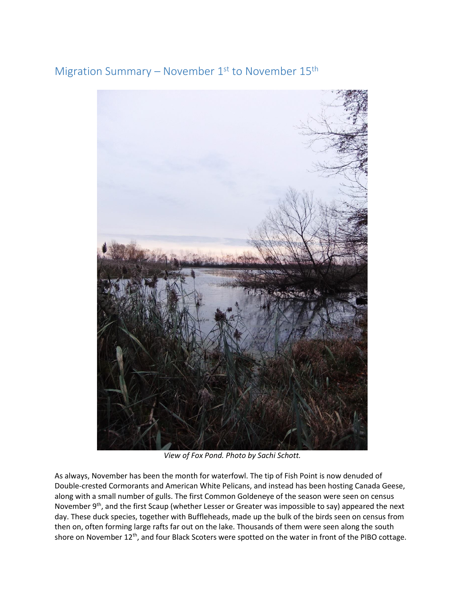## Migration Summary – November  $1^{st}$  to November  $15^{th}$



*View of Fox Pond. Photo by Sachi Schott.* 

As always, November has been the month for waterfowl. The tip of Fish Point is now denuded of Double-crested Cormorants and American White Pelicans, and instead has been hosting Canada Geese, along with a small number of gulls. The first Common Goldeneye of the season were seen on census November 9<sup>th</sup>, and the first Scaup (whether Lesser or Greater was impossible to say) appeared the next day. These duck species, together with Buffleheads, made up the bulk of the birds seen on census from then on, often forming large rafts far out on the lake. Thousands of them were seen along the south shore on November 12<sup>th</sup>, and four Black Scoters were spotted on the water in front of the PIBO cottage.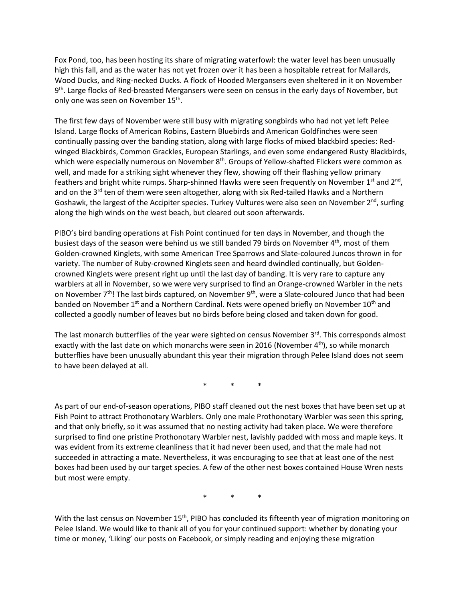Fox Pond, too, has been hosting its share of migrating waterfowl: the water level has been unusually high this fall, and as the water has not yet frozen over it has been a hospitable retreat for Mallards, Wood Ducks, and Ring-necked Ducks. A flock of Hooded Mergansers even sheltered in it on November 9<sup>th</sup>. Large flocks of Red-breasted Mergansers were seen on census in the early days of November, but only one was seen on November 15<sup>th</sup>.

The first few days of November were still busy with migrating songbirds who had not yet left Pelee Island. Large flocks of American Robins, Eastern Bluebirds and American Goldfinches were seen continually passing over the banding station, along with large flocks of mixed blackbird species: Redwinged Blackbirds, Common Grackles, European Starlings, and even some endangered Rusty Blackbirds, which were especially numerous on November  $8<sup>th</sup>$ . Groups of Yellow-shafted Flickers were common as well, and made for a striking sight whenever they flew, showing off their flashing yellow primary feathers and bright white rumps. Sharp-shinned Hawks were seen frequently on November 1<sup>st</sup> and 2<sup>nd</sup>, and on the  $3^{rd}$  ten of them were seen altogether, along with six Red-tailed Hawks and a Northern Goshawk, the largest of the Accipiter species. Turkey Vultures were also seen on November  $2^{nd}$ , surfing along the high winds on the west beach, but cleared out soon afterwards.

PIBO's bird banding operations at Fish Point continued for ten days in November, and though the busiest days of the season were behind us we still banded 79 birds on November  $4<sup>th</sup>$ , most of them Golden-crowned Kinglets, with some American Tree Sparrows and Slate-coloured Juncos thrown in for variety. The number of Ruby-crowned Kinglets seen and heard dwindled continually, but Goldencrowned Kinglets were present right up until the last day of banding. It is very rare to capture any warblers at all in November, so we were very surprised to find an Orange-crowned Warbler in the nets on November  $7<sup>th</sup>$ ! The last birds captured, on November 9<sup>th</sup>, were a Slate-coloured Junco that had been banded on November 1<sup>st</sup> and a Northern Cardinal. Nets were opened briefly on November 10<sup>th</sup> and collected a goodly number of leaves but no birds before being closed and taken down for good.

The last monarch butterflies of the year were sighted on census November  $3<sup>rd</sup>$ . This corresponds almost exactly with the last date on which monarchs were seen in 2016 (November  $4<sup>th</sup>$ ), so while monarch butterflies have been unusually abundant this year their migration through Pelee Island does not seem to have been delayed at all.

\* \* \*

As part of our end-of-season operations, PIBO staff cleaned out the nest boxes that have been set up at Fish Point to attract Prothonotary Warblers. Only one male Prothonotary Warbler was seen this spring, and that only briefly, so it was assumed that no nesting activity had taken place. We were therefore surprised to find one pristine Prothonotary Warbler nest, lavishly padded with moss and maple keys. It was evident from its extreme cleanliness that it had never been used, and that the male had not succeeded in attracting a mate. Nevertheless, it was encouraging to see that at least one of the nest boxes had been used by our target species. A few of the other nest boxes contained House Wren nests but most were empty.

\* \* \*

With the last census on November 15<sup>th</sup>, PIBO has concluded its fifteenth year of migration monitoring on Pelee Island. We would like to thank all of you for your continued support: whether by donating your time or money, 'Liking' our posts on Facebook, or simply reading and enjoying these migration